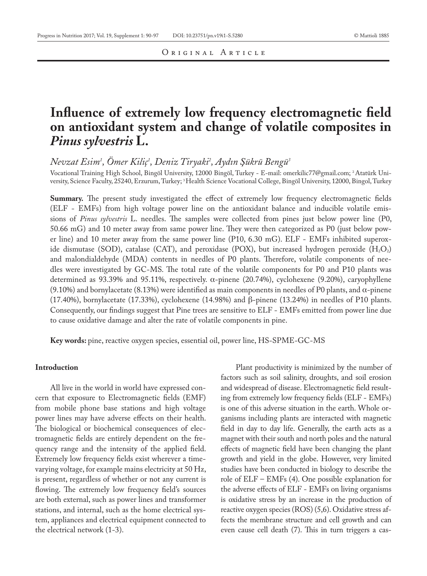## ORIGINAL ARTICLE

## **Influence of extremely low frequency electromagnetic field on antioxidant system and change of volatile composites in**  *Pinus sylvestris* **L.**

*Nevzat Esim1 , Ömer Kiliç1 , Deniz Tiryaki2 , Aydın Şükrü Bengü3*

Vocational Training High School, Bingöl University, 12000 Bingöl, Turkey - E-mail: omerkilic77@gmail.com; 2 Atatürk University, Science Faculty, 25240, Erzurum, Turkey; 3 Health Science Vocational College, Bingöl University, 12000, Bingol, Turkey

**Summary.** The present study investigated the effect of extremely low frequency electromagnetic fields (ELF - EMFs) from high voltage power line on the antioxidant balance and inducible volatile emissions of *Pinus sylvestris* L. needles. The samples were collected from pines just below power line (P0, 50.66 mG) and 10 meter away from same power line. They were then categorized as P0 (just below power line) and 10 meter away from the same power line (P10, 6.30 mG). ELF - EMFs inhibited superoxide dismutase (SOD), catalase (CAT), and peroxidase (POX), but increased hydrogen peroxide  $(H_2O_2)$ and malondialdehyde (MDA) contents in needles of P0 plants. Therefore, volatile components of needles were investigated by GC-MS. The total rate of the volatile components for P0 and P10 plants was determined as 93.39% and 95.11%, respectively. α-pinene (20.74%), cyclohexene (9.20%), caryophyllene (9.10%) and bornylacetate (8.13%) were identified as main components in needles of P0 plants, and α-pinene (17.40%), bornylacetate (17.33%), cyclohexene (14.98%) and β-pinene (13.24%) in needles of P10 plants. Consequently, our findings suggest that Pine trees are sensitive to ELF - EMFs emitted from power line due to cause oxidative damage and alter the rate of volatile components in pine.

**Key words:** pine, reactive oxygen species, essential oil, power line, HS-SPME-GC-MS

## **Introduction**

All live in the world in world have expressed concern that exposure to Electromagnetic fields (EMF) from mobile phone base stations and high voltage power lines may have adverse effects on their health. The biological or biochemical consequences of electromagnetic fields are entirely dependent on the frequency range and the intensity of the applied field. Extremely low frequency fields exist wherever a timevarying voltage, for example mains electricity at 50 Hz, is present, regardless of whether or not any current is flowing. The extremely low frequency field's sources are both external, such as power lines and transformer stations, and internal, such as the home electrical system, appliances and electrical equipment connected to the electrical network (1-3).

Plant productivity is minimized by the number of factors such as soil salinity, droughts, and soil erosion and widespread of disease. Electromagnetic field resulting from extremely low frequency fields (ELF - EMFs) is one of this adverse situation in the earth. Whole organisms including plants are interacted with magnetic field in day to day life. Generally, the earth acts as a magnet with their south and north poles and the natural effects of magnetic field have been changing the plant growth and yield in the globe. However, very limited studies have been conducted in biology to describe the role of ELF – EMFs (4). One possible explanation for the adverse effects of ELF - EMFs on living organisms is oxidative stress by an increase in the production of reactive oxygen species (ROS) (5,6). Oxidative stress affects the membrane structure and cell growth and can even cause cell death (7). This in turn triggers a cas-